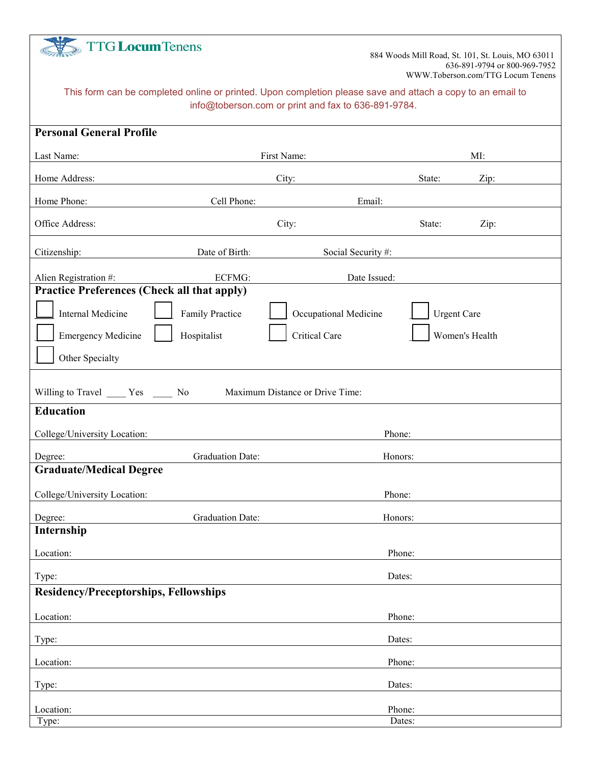| <b>TTG Locum Tenens</b>                                                                                                                                           |                         |                       | 884 Woods Mill Road, St. 101, St. Louis, MO 63011<br>636-891-9794 or 800-969-7952<br>WWW.Toberson.com/TTG Locum Tenens |  |  |  |  |  |
|-------------------------------------------------------------------------------------------------------------------------------------------------------------------|-------------------------|-----------------------|------------------------------------------------------------------------------------------------------------------------|--|--|--|--|--|
| This form can be completed online or printed. Upon completion please save and attach a copy to an email to<br>info@toberson.com or print and fax to 636-891-9784. |                         |                       |                                                                                                                        |  |  |  |  |  |
| <b>Personal General Profile</b>                                                                                                                                   |                         |                       |                                                                                                                        |  |  |  |  |  |
| Last Name:                                                                                                                                                        |                         | First Name:           | MI:                                                                                                                    |  |  |  |  |  |
| Home Address:                                                                                                                                                     |                         | City:                 | State:<br>Zip:                                                                                                         |  |  |  |  |  |
| Home Phone:                                                                                                                                                       | Cell Phone:             | Email:                |                                                                                                                        |  |  |  |  |  |
| Office Address:                                                                                                                                                   |                         | City:                 | State:<br>Zip:                                                                                                         |  |  |  |  |  |
| Citizenship:                                                                                                                                                      | Date of Birth:          | Social Security#:     |                                                                                                                        |  |  |  |  |  |
| Alien Registration #:                                                                                                                                             | ECFMG:                  | Date Issued:          |                                                                                                                        |  |  |  |  |  |
| <b>Practice Preferences (Check all that apply)</b>                                                                                                                |                         |                       |                                                                                                                        |  |  |  |  |  |
| <b>Internal Medicine</b>                                                                                                                                          | <b>Family Practice</b>  | Occupational Medicine | <b>Urgent Care</b>                                                                                                     |  |  |  |  |  |
| <b>Emergency Medicine</b>                                                                                                                                         | Hospitalist             | <b>Critical Care</b>  | Women's Health                                                                                                         |  |  |  |  |  |
| Other Specialty                                                                                                                                                   |                         |                       |                                                                                                                        |  |  |  |  |  |
| Willing to Travel _______ Yes _______ No<br>Maximum Distance or Drive Time:                                                                                       |                         |                       |                                                                                                                        |  |  |  |  |  |
| <b>Education</b>                                                                                                                                                  |                         |                       |                                                                                                                        |  |  |  |  |  |
| College/University Location:                                                                                                                                      |                         | Phone:                |                                                                                                                        |  |  |  |  |  |
| Degree:                                                                                                                                                           | <b>Graduation Date:</b> | Honors:               |                                                                                                                        |  |  |  |  |  |
| <b>Graduate/Medical Degree</b>                                                                                                                                    |                         |                       |                                                                                                                        |  |  |  |  |  |
| College/University Location:                                                                                                                                      |                         | Phone:                |                                                                                                                        |  |  |  |  |  |
| Degree:<br>Internship                                                                                                                                             | <b>Graduation Date:</b> |                       | Honors:                                                                                                                |  |  |  |  |  |
| Location:                                                                                                                                                         |                         |                       | Phone:                                                                                                                 |  |  |  |  |  |
| Type:                                                                                                                                                             |                         |                       | Dates:                                                                                                                 |  |  |  |  |  |
| <b>Residency/Preceptorships, Fellowships</b>                                                                                                                      |                         |                       |                                                                                                                        |  |  |  |  |  |
| Location:                                                                                                                                                         |                         |                       | Phone:                                                                                                                 |  |  |  |  |  |
| Type:                                                                                                                                                             |                         |                       | Dates:                                                                                                                 |  |  |  |  |  |
| Location:                                                                                                                                                         |                         |                       | Phone:                                                                                                                 |  |  |  |  |  |
| Type:                                                                                                                                                             |                         |                       | Dates:                                                                                                                 |  |  |  |  |  |
| Location:                                                                                                                                                         |                         |                       | Phone:<br>Dates:                                                                                                       |  |  |  |  |  |
| Type:                                                                                                                                                             |                         |                       |                                                                                                                        |  |  |  |  |  |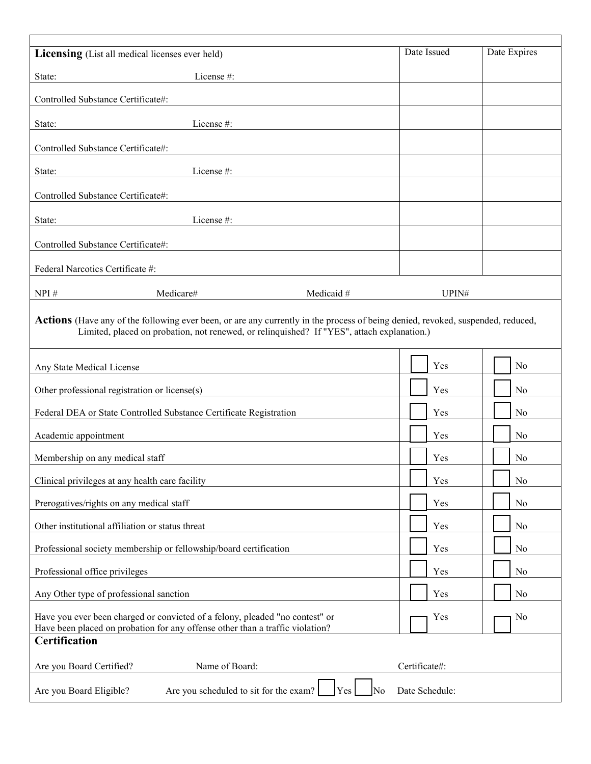| Licensing (List all medical licenses ever held)                                                                                                                                                                                      | Date Issued   | Date Expires   |  |  |  |  |
|--------------------------------------------------------------------------------------------------------------------------------------------------------------------------------------------------------------------------------------|---------------|----------------|--|--|--|--|
| License #:<br>State:                                                                                                                                                                                                                 |               |                |  |  |  |  |
| Controlled Substance Certificate#:                                                                                                                                                                                                   |               |                |  |  |  |  |
| License#:<br>State:                                                                                                                                                                                                                  |               |                |  |  |  |  |
| Controlled Substance Certificate#:                                                                                                                                                                                                   |               |                |  |  |  |  |
| License #:<br>State:                                                                                                                                                                                                                 |               |                |  |  |  |  |
| Controlled Substance Certificate#:                                                                                                                                                                                                   |               |                |  |  |  |  |
| State:<br>License#:                                                                                                                                                                                                                  |               |                |  |  |  |  |
| Controlled Substance Certificate#:                                                                                                                                                                                                   |               |                |  |  |  |  |
| Federal Narcotics Certificate #:                                                                                                                                                                                                     |               |                |  |  |  |  |
| NPI#<br>Medicare#<br>Medicaid #                                                                                                                                                                                                      | UPIN#         |                |  |  |  |  |
| <b>Actions</b> (Have any of the following ever been, or are any currently in the process of being denied, revoked, suspended, reduced,<br>Limited, placed on probation, not renewed, or relinquished? If "YES", attach explanation.) |               |                |  |  |  |  |
| Any State Medical License                                                                                                                                                                                                            | Yes           | N <sub>o</sub> |  |  |  |  |
| Other professional registration or license(s)                                                                                                                                                                                        | Yes           | N <sub>0</sub> |  |  |  |  |
| Federal DEA or State Controlled Substance Certificate Registration                                                                                                                                                                   | Yes           | No             |  |  |  |  |
| Academic appointment                                                                                                                                                                                                                 | Yes           | N <sub>0</sub> |  |  |  |  |
| Membership on any medical staff                                                                                                                                                                                                      | Yes           | N <sub>0</sub> |  |  |  |  |
| Clinical privileges at any health care facility                                                                                                                                                                                      | Yes           | N <sub>o</sub> |  |  |  |  |
| Prerogatives/rights on any medical staff                                                                                                                                                                                             | Yes           | No             |  |  |  |  |
| Other institutional affiliation or status threat                                                                                                                                                                                     | Yes           | No             |  |  |  |  |
| Professional society membership or fellowship/board certification                                                                                                                                                                    | Yes           | N <sub>0</sub> |  |  |  |  |
| Professional office privileges                                                                                                                                                                                                       | Yes           | N <sub>0</sub> |  |  |  |  |
| Any Other type of professional sanction                                                                                                                                                                                              | Yes           | N <sub>o</sub> |  |  |  |  |
| Have you ever been charged or convicted of a felony, pleaded "no contest" or<br>Have been placed on probation for any offense other than a traffic violation?                                                                        | Yes           | No             |  |  |  |  |
| <b>Certification</b>                                                                                                                                                                                                                 |               |                |  |  |  |  |
| Are you Board Certified?<br>Name of Board:                                                                                                                                                                                           | Certificate#: |                |  |  |  |  |
| Are you scheduled to sit for the exam?<br>Yes<br>Date Schedule:<br>Are you Board Eligible?<br>No                                                                                                                                     |               |                |  |  |  |  |